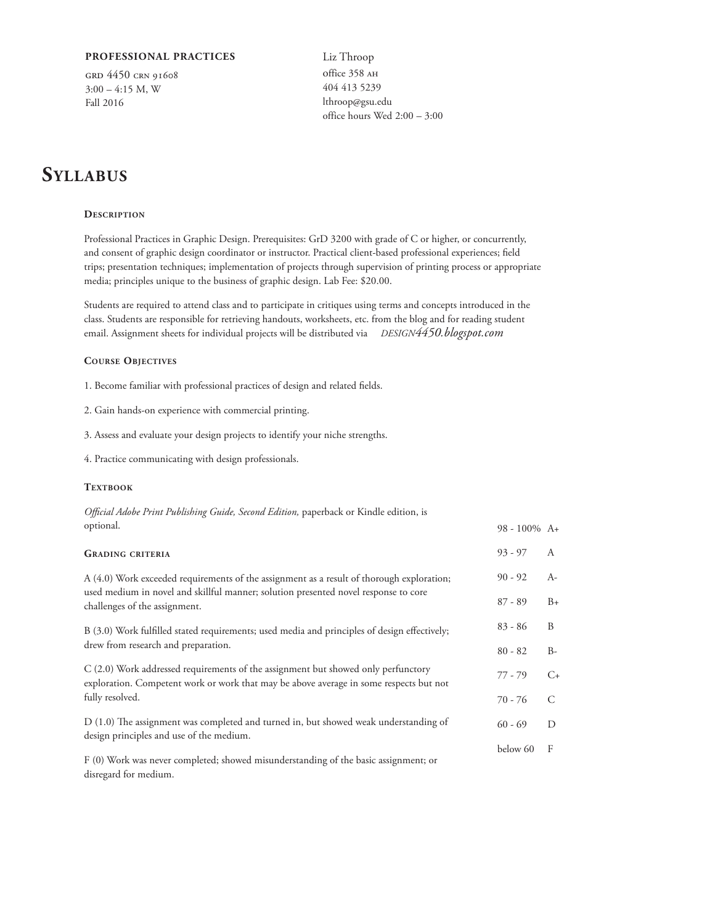### **PROFESSIONAL PRACTICES**

grd 4450 crn 91608  $3:00 - 4:15$  M, W Fall 2016

Liz Throop office 358 AH 404 413 5239 lthroop@gsu.edu office hours Wed 2:00 – 3:00

# **Syllabus**

#### **Description**

Professional Practices in Graphic Design. Prerequisites: GrD 3200 with grade of C or higher, or concurrently, and consent of graphic design coordinator or instructor. Practical client-based professional experiences; field trips; presentation techniques; implementation of projects through supervision of printing process or appropriate media; principles unique to the business of graphic design. Lab Fee: \$20.00.

Students are required to attend class and to participate in critiques using terms and concepts introduced in the class. Students are responsible for retrieving handouts, worksheets, etc. from the blog and for reading student email. Assignment sheets for individual projects will be distributed via DESIGN4450.blogspot.com

### **Course Objectives**

1. Become familiar with professional practices of design and related fields.

- 2. Gain hands-on experience with commercial printing.
- 3. Assess and evaluate your design projects to identify your niche strengths.
- 4. Practice communicating with design professionals.

### **TEXTBOOK**

*Official Adobe Print Publishing Guide, Second Edition,* paperback or Kindle edition, is optional.

| <b>GRADING CRITERIA</b>                                                                                                                                                     | $93 - 97$ | A             |
|-----------------------------------------------------------------------------------------------------------------------------------------------------------------------------|-----------|---------------|
| A (4.0) Work exceeded requirements of the assignment as a result of thorough exploration;                                                                                   | $90 - 92$ | $A-$          |
| used medium in novel and skillful manner; solution presented novel response to core<br>challenges of the assignment.                                                        | $87 - 89$ | $B+$          |
| B (3.0) Work fulfilled stated requirements; used media and principles of design effectively;<br>drew from research and preparation.                                         |           | B             |
|                                                                                                                                                                             |           | $B-$          |
| C (2.0) Work addressed requirements of the assignment but showed only perfunctory<br>exploration. Competent work or work that may be above average in some respects but not |           | $C_{\pm}$     |
| fully resolved.                                                                                                                                                             | 70 - 76   | $\mathcal{C}$ |
| D (1.0) The assignment was completed and turned in, but showed weak understanding of<br>design principles and use of the medium.                                            | $60 - 69$ | D             |
| F (0) Work was never completed; showed misunderstanding of the basic assignment; or<br>disregard for medium.                                                                | below 60  | F             |

98 - 100% A+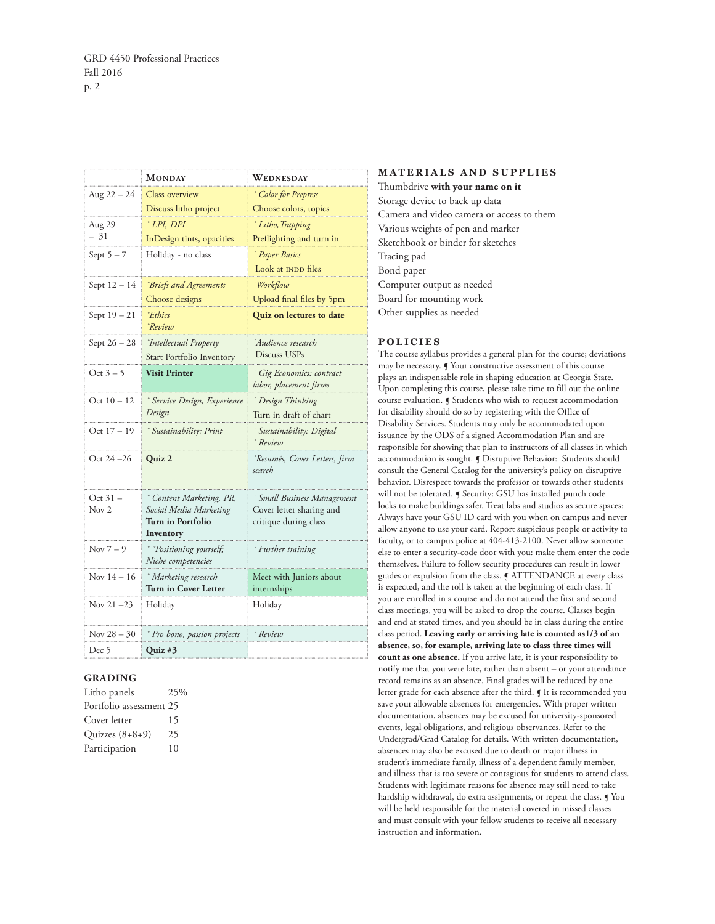|                  | <b>MONDAY</b>                                      | <b>WEDNESDAY</b>                                               |
|------------------|----------------------------------------------------|----------------------------------------------------------------|
| Aug $22 - 24$    | Class overview                                     | ° Color for Prepress                                           |
|                  | Discuss litho project                              | Choose colors, topics                                          |
| Aug 29           | $^{\circ} LPI$ , DPI                               | <sup>*</sup> Litho, Trapping                                   |
| - 31             | InDesign tints, opacities                          | Preflighting and turn in                                       |
| Sept $5 - 7$     | Holiday - no class                                 | <i>Paper Basics</i>                                            |
|                  |                                                    | Look at INDD files                                             |
| Sept 12 - 14     | <i><b>Priefs and Agreements</b></i>                | <i>Workflow</i>                                                |
|                  | Choose designs                                     | Upload final files by 5pm                                      |
| Sept 19 - 21     | °Ethics<br>°Review                                 | Quiz on lectures to date                                       |
| Sept 26 - 28     | <i>'Intellectual Property</i>                      | <sup><i>Audience research</i></sup>                            |
|                  | Start Portfolio Inventory                          | Discuss USPs                                                   |
| Oct $3-5$        | <b>Visit Printer</b>                               | <sup>e</sup> Gig Economics: contract<br>labor, placement firms |
| Oct $10 - 12$    | <sup>e</sup> Service Design, Experience            | <sup>o</sup> Design Thinking                                   |
|                  | Design                                             | Turn in draft of chart                                         |
| Oct $17 - 19$    | <sup>*</sup> Sustainability: Print                 | <sup>*</sup> Sustainability: Digital<br>° Review               |
| Oct 24 –26       | Quiz 2                                             | <sup>e</sup> Resumés, Cover Letters, firm<br>search            |
| Oct 31 -         | ° Content Marketing, PR,                           | <sup>*</sup> Small Business Management                         |
| Nov <sub>2</sub> | Social Media Marketing                             | Cover letter sharing and                                       |
|                  | Turn in Portfolio<br>Inventory                     | critique during class                                          |
| Nov $7-9$        | <i>Positioning yourself;</i><br>Niche competencies | ° Further training                                             |
| Nov $14 - 16$    | <sup>o</sup> Marketing research                    | Meet with Juniors about                                        |
|                  | Turn in Cover Letter                               | internships                                                    |
| Nov $21 - 23$    | Holiday                                            | Holiday                                                        |
| Nov $28 - 30$    | Pro bono, passion projects                         | ° Review                                                       |
| Dec 5            | Quiz #3                                            |                                                                |

### **GRADING**

| Litho panels            | 25% |
|-------------------------|-----|
| Portfolio assessment 25 |     |
| Cover letter            | 15  |
| Quizzes $(8+8+9)$       | 25  |
| Participation           | 10  |

**MATERIALS AND SUPPLIES** Thumbdrive **with your name on it** Storage device to back up data Camera and video camera or access to them Various weights of pen and marker Sketchbook or binder for sketches Tracing pad Bond paper Computer output as needed Board for mounting work Other supplies as needed

### **POLICIES**

The course syllabus provides a general plan for the course; deviations may be necessary. ¶ Your constructive assessment of this course plays an indispensable role in shaping education at Georgia State. Upon completing this course, please take time to fill out the online course evaluation. ¶ Students who wish to request accommodation for disability should do so by registering with the Office of Disability Services. Students may only be accommodated upon issuance by the ODS of a signed Accommodation Plan and are responsible for showing that plan to instructors of all classes in which accommodation is sought. ¶ Disruptive Behavior: Students should consult the General Catalog for the university's policy on disruptive behavior. Disrespect towards the professor or towards other students will not be tolerated. ¶ Security: GSU has installed punch code locks to make buildings safer. Treat labs and studios as secure spaces: Always have your GSU ID card with you when on campus and never allow anyone to use your card. Report suspicious people or activity to faculty, or to campus police at 404-413-2100. Never allow someone else to enter a security-code door with you: make them enter the code themselves. Failure to follow security procedures can result in lower grades or expulsion from the class. ¶ ATTENDANCE at every class is expected, and the roll is taken at the beginning of each class. If you are enrolled in a course and do not attend the first and second class meetings, you will be asked to drop the course. Classes begin and end at stated times, and you should be in class during the entire class period. **Leaving early or arriving late is counted as1/3 of an absence, so, for example, arriving late to class three times will count as one absence.** If you arrive late, it is your responsibility to notify me that you were late, rather than absent – or your attendance record remains as an absence. Final grades will be reduced by one letter grade for each absence after the third. ¶ It is recommended you save your allowable absences for emergencies. With proper written documentation, absences may be excused for university-sponsored events, legal obligations, and religious observances. Refer to the Undergrad/Grad Catalog for details. With written documentation, absences may also be excused due to death or major illness in student's immediate family, illness of a dependent family member, and illness that is too severe or contagious for students to attend class. Students with legitimate reasons for absence may still need to take hardship withdrawal, do extra assignments, or repeat the class. ¶ You will be held responsible for the material covered in missed classes and must consult with your fellow students to receive all necessary instruction and information.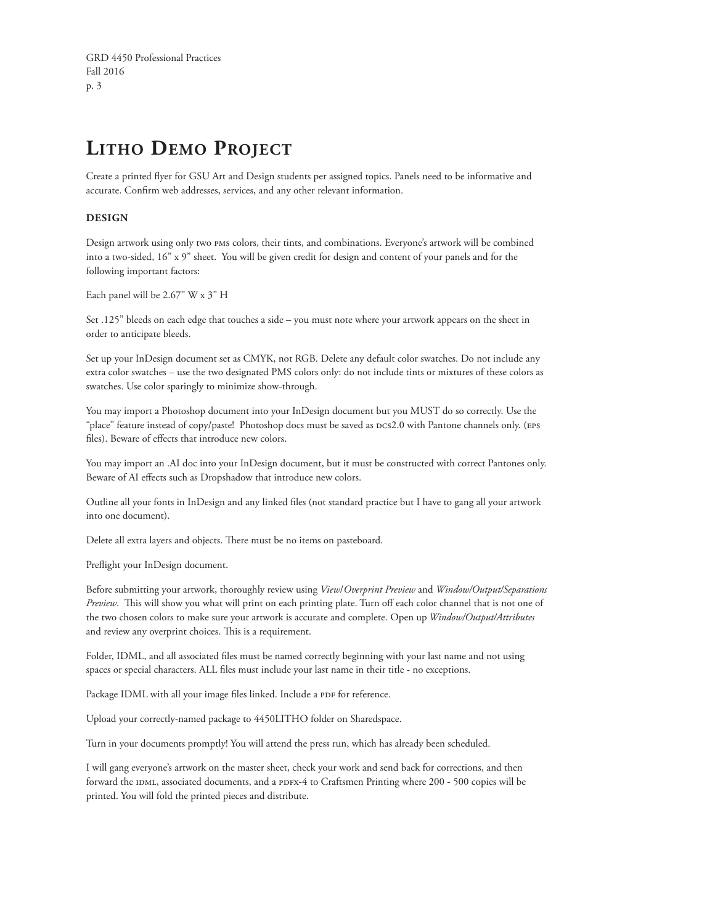GRD 4450 Professional Practices Fall 2016 p. 3

# **Litho Demo Project**

Create a printed flyer for GSU Art and Design students per assigned topics. Panels need to be informative and accurate. Confirm web addresses, services, and any other relevant information.

## **DESIGN**

Design artwork using only two pms colors, their tints, and combinations. Everyone's artwork will be combined into a two-sided, 16" x 9" sheet. You will be given credit for design and content of your panels and for the following important factors:

Each panel will be 2.67" W x 3" H

Set .125" bleeds on each edge that touches a side – you must note where your artwork appears on the sheet in order to anticipate bleeds.

Set up your InDesign document set as CMYK, not RGB. Delete any default color swatches. Do not include any extra color swatches – use the two designated PMS colors only: do not include tints or mixtures of these colors as swatches. Use color sparingly to minimize show-through.

You may import a Photoshop document into your InDesign document but you MUST do so correctly. Use the "place" feature instead of copy/paste! Photoshop docs must be saved as Dcs2.0 with Pantone channels only. (EPS files). Beware of effects that introduce new colors.

You may import an .AI doc into your InDesign document, but it must be constructed with correct Pantones only. Beware of AI effects such as Dropshadow that introduce new colors.

Outline all your fonts in InDesign and any linked files (not standard practice but I have to gang all your artwork into one document).

Delete all extra layers and objects. There must be no items on pasteboard.

Preflight your InDesign document.

Before submitting your artwork, thoroughly review using *View*/*Overprint Preview* and *Window/Output/Separations Preview*. This will show you what will print on each printing plate. Turn off each color channel that is not one of the two chosen colors to make sure your artwork is accurate and complete. Open up *Window/Output/Attributes* and review any overprint choices. This is a requirement.

Folder, IDML, and all associated files must be named correctly beginning with your last name and not using spaces or special characters. ALL files must include your last name in their title - no exceptions.

Package IDML with all your image files linked. Include a PDF for reference.

Upload your correctly-named package to 4450LITHO folder on Sharedspace.

Turn in your documents promptly! You will attend the press run, which has already been scheduled.

I will gang everyone's artwork on the master sheet, check your work and send back for corrections, and then forward the IDML, associated documents, and a pDFx-4 to Craftsmen Printing where 200 - 500 copies will be printed. You will fold the printed pieces and distribute.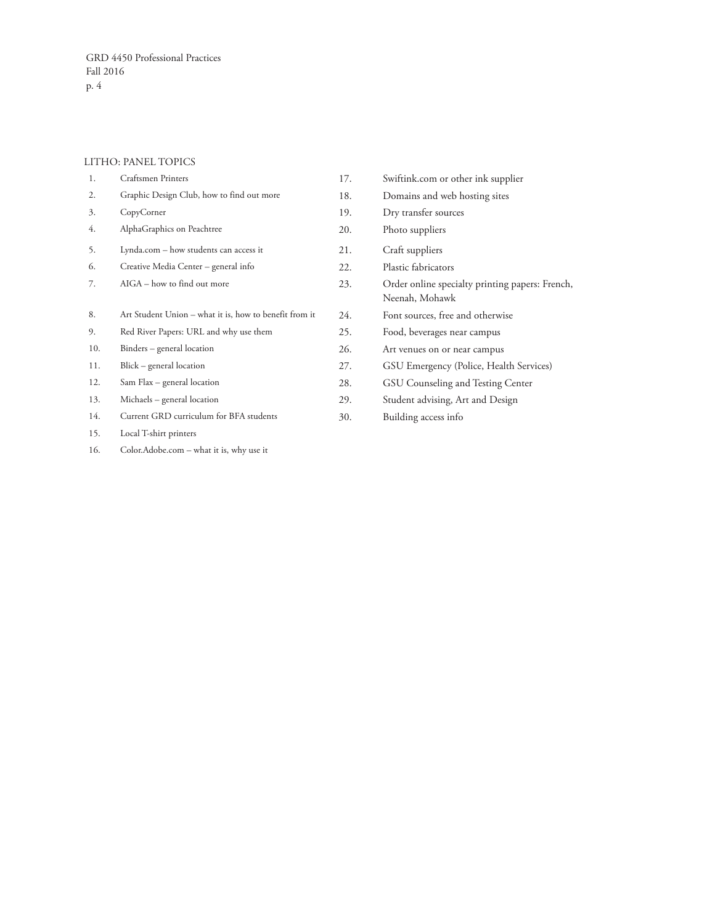## LITHO: PANEL TOPICS

| 1.  | Craftsmen Printers                                     | 17. | Swiftink.com or other ink supplier                                |
|-----|--------------------------------------------------------|-----|-------------------------------------------------------------------|
| 2.  | Graphic Design Club, how to find out more              | 18. | Domains and web hosting sites                                     |
| 3.  | CopyCorner                                             | 19. | Dry transfer sources                                              |
| 4.  | AlphaGraphics on Peachtree                             | 20. | Photo suppliers                                                   |
| 5.  | Lynda.com - how students can access it                 | 21. | Craft suppliers                                                   |
| 6.  | Creative Media Center - general info                   | 22. | Plastic fabricators                                               |
| 7.  | AIGA - how to find out more                            | 23. | Order online specialty printing papers: French,<br>Neenah, Mohawk |
| 8.  | Art Student Union – what it is, how to benefit from it | 24. | Font sources, free and otherwise                                  |
| 9.  | Red River Papers: URL and why use them                 | 25. | Food, beverages near campus                                       |
| 10. | Binders – general location                             | 26. | Art venues on or near campus                                      |
| 11. | Blick – general location                               | 27. | GSU Emergency (Police, Health Services)                           |
| 12. | Sam Flax - general location                            | 28. | GSU Counseling and Testing Center                                 |
| 13. | Michaels – general location                            | 29. | Student advising, Art and Design                                  |
| 14. | Current GRD curriculum for BFA students                | 30. | Building access info                                              |
| 15. | Local T-shirt printers                                 |     |                                                                   |
| 16. | Color.Adobe.com - what it is, why use it               |     |                                                                   |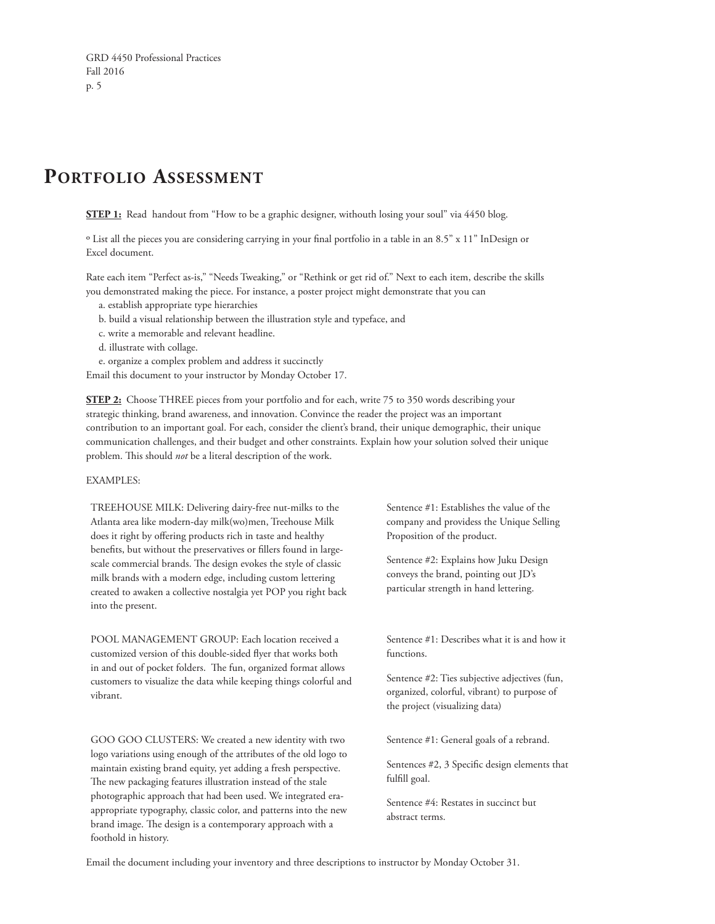# **Portfolio Assessment**

**STEP 1:** Read handout from "How to be a graphic designer, withouth losing your soul" via 4450 blog.

º List all the pieces you are considering carrying in your final portfolio in a table in an 8.5" x 11" InDesign or Excel document.

Rate each item "Perfect as-is," "Needs Tweaking," or "Rethink or get rid of." Next to each item, describe the skills you demonstrated making the piece. For instance, a poster project might demonstrate that you can

- a. establish appropriate type hierarchies
- b. build a visual relationship between the illustration style and typeface, and
- c. write a memorable and relevant headline.
- d. illustrate with collage.

e. organize a complex problem and address it succinctly

Email this document to your instructor by Monday October 17.

**STEP 2:** Choose THREE pieces from your portfolio and for each, write 75 to 350 words describing your strategic thinking, brand awareness, and innovation. Convince the reader the project was an important contribution to an important goal. For each, consider the client's brand, their unique demographic, their unique communication challenges, and their budget and other constraints. Explain how your solution solved their unique problem. This should *not* be a literal description of the work.

### EXAMPLES:

TREEHOUSE MILK: Delivering dairy-free nut-milks to the Atlanta area like modern-day milk(wo)men, Treehouse Milk does it right by offering products rich in taste and healthy benefits, but without the preservatives or fillers found in largescale commercial brands. The design evokes the style of classic milk brands with a modern edge, including custom lettering created to awaken a collective nostalgia yet POP you right back into the present.

POOL MANAGEMENT GROUP: Each location received a customized version of this double-sided flyer that works both in and out of pocket folders. The fun, organized format allows customers to visualize the data while keeping things colorful and vibrant.

GOO GOO CLUSTERS: We created a new identity with two logo variations using enough of the attributes of the old logo to maintain existing brand equity, yet adding a fresh perspective. The new packaging features illustration instead of the stale photographic approach that had been used. We integrated eraappropriate typography, classic color, and patterns into the new brand image. The design is a contemporary approach with a foothold in history.

Sentence #1: Establishes the value of the company and providess the Unique Selling Proposition of the product.

Sentence #2: Explains how Juku Design conveys the brand, pointing out JD's particular strength in hand lettering.

Sentence #1: Describes what it is and how it functions.

Sentence #2: Ties subjective adjectives (fun, organized, colorful, vibrant) to purpose of the project (visualizing data)

Sentence #1: General goals of a rebrand.

Sentences #2, 3 Specific design elements that fulfill goal.

Sentence #4: Restates in succinct but abstract terms.

Email the document including your inventory and three descriptions to instructor by Monday October 31.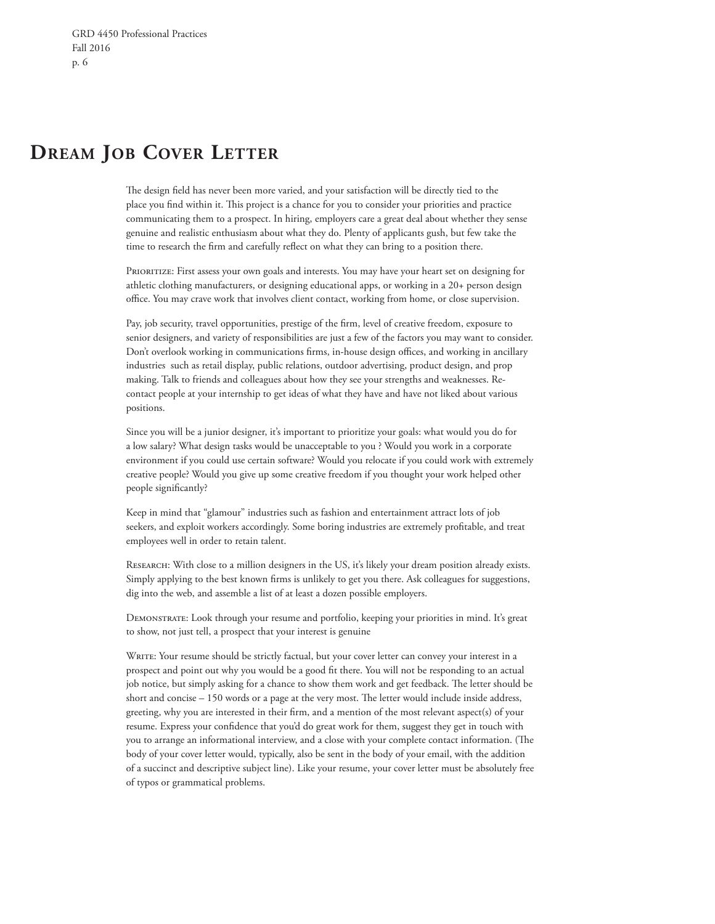## **Dream Job Cover Letter**

The design field has never been more varied, and your satisfaction will be directly tied to the place you find within it. This project is a chance for you to consider your priorities and practice communicating them to a prospect. In hiring, employers care a great deal about whether they sense genuine and realistic enthusiasm about what they do. Plenty of applicants gush, but few take the time to research the firm and carefully reflect on what they can bring to a position there.

PRIORITIZE: First assess your own goals and interests. You may have your heart set on designing for athletic clothing manufacturers, or designing educational apps, or working in a 20+ person design office. You may crave work that involves client contact, working from home, or close supervision.

Pay, job security, travel opportunities, prestige of the firm, level of creative freedom, exposure to senior designers, and variety of responsibilities are just a few of the factors you may want to consider. Don't overlook working in communications firms, in-house design offices, and working in ancillary industries such as retail display, public relations, outdoor advertising, product design, and prop making. Talk to friends and colleagues about how they see your strengths and weaknesses. Recontact people at your internship to get ideas of what they have and have not liked about various positions.

Since you will be a junior designer, it's important to prioritize your goals: what would you do for a low salary? What design tasks would be unacceptable to you ? Would you work in a corporate environment if you could use certain software? Would you relocate if you could work with extremely creative people? Would you give up some creative freedom if you thought your work helped other people significantly?

Keep in mind that "glamour" industries such as fashion and entertainment attract lots of job seekers, and exploit workers accordingly. Some boring industries are extremely profitable, and treat employees well in order to retain talent.

RESEARCH: With close to a million designers in the US, it's likely your dream position already exists. Simply applying to the best known firms is unlikely to get you there. Ask colleagues for suggestions, dig into the web, and assemble a list of at least a dozen possible employers.

Demonstrate: Look through your resume and portfolio, keeping your priorities in mind. It's great to show, not just tell, a prospect that your interest is genuine

WRITE: Your resume should be strictly factual, but your cover letter can convey your interest in a prospect and point out why you would be a good fit there. You will not be responding to an actual job notice, but simply asking for a chance to show them work and get feedback. The letter should be short and concise – 150 words or a page at the very most. The letter would include inside address, greeting, why you are interested in their firm, and a mention of the most relevant aspect(s) of your resume. Express your confidence that you'd do great work for them, suggest they get in touch with you to arrange an informational interview, and a close with your complete contact information. (The body of your cover letter would, typically, also be sent in the body of your email, with the addition of a succinct and descriptive subject line). Like your resume, your cover letter must be absolutely free of typos or grammatical problems.